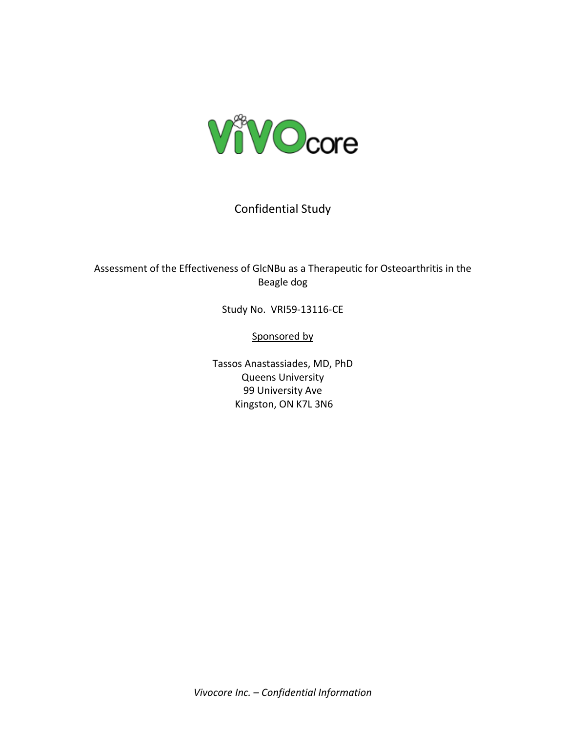

# Confidential Study

# Assessment of the Effectiveness of GlcNBu as a Therapeutic for Osteoarthritis in the Beagle dog

Study No. VRI59-13116-CE

Sponsored by

Tassos Anastassiades, MD, PhD Queens University 99 University Ave Kingston, ON K7L 3N6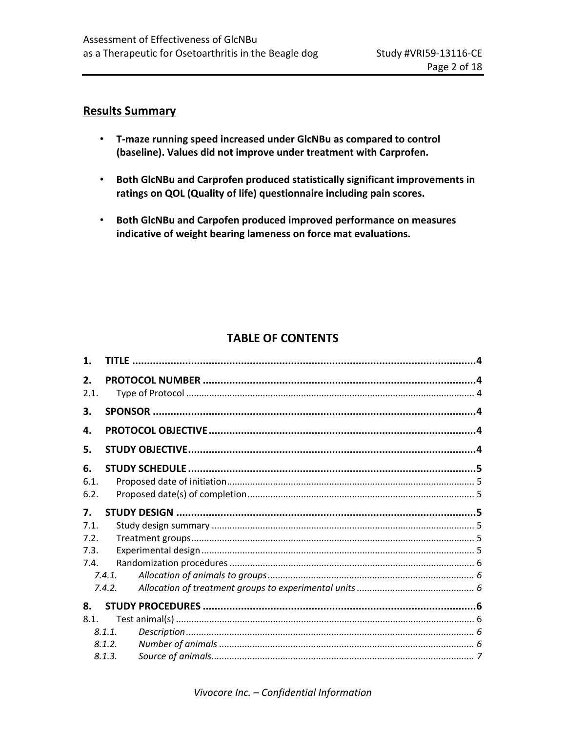# **Results Summary**

- **T-maze running speed increased under GlcNBu as compared to control (baseline). Values did not improve under treatment with Carprofen.**
- **Both GlcNBu and Carprofen produced statistically significant improvements in ratings on QOL (Quality of life) questionnaire including pain scores.**
- **Both GlcNBu and Carpofen produced improved performance on measures indicative of weight bearing lameness on force mat evaluations.**

# **TABLE OF CONTENTS**

| $\mathbf 1$ . |        |  |
|---------------|--------|--|
| 2.            |        |  |
| 2.1.          |        |  |
| 3.            |        |  |
| 4.            |        |  |
| 5.            |        |  |
| 6.            |        |  |
| 6.1.          |        |  |
| 6.2.          |        |  |
| 7.            |        |  |
| 7.1           |        |  |
| 7.2.          |        |  |
| 7.3.          |        |  |
| 7.4.          |        |  |
|               | 7.4.1. |  |
|               | 7.4.2. |  |
| 8.            |        |  |
| 8.1.          |        |  |
|               | 8.1.1. |  |
|               | 8.1.2. |  |
|               | 8.1.3. |  |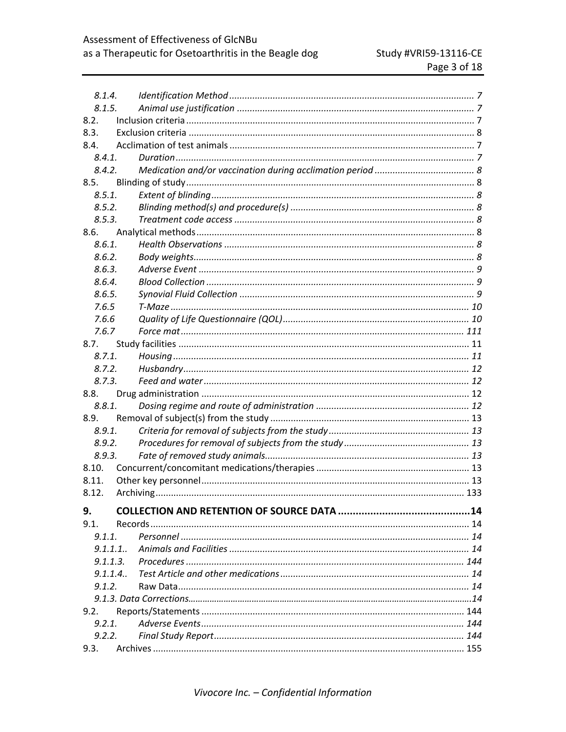| 8.1.4.   |  |  |
|----------|--|--|
| 8.1.5.   |  |  |
| 8.2.     |  |  |
| 8.3.     |  |  |
| 8.4.     |  |  |
| 8.4.1.   |  |  |
| 8.4.2.   |  |  |
| 8.5.     |  |  |
| 8.5.1.   |  |  |
| 8.5.2.   |  |  |
| 8.5.3.   |  |  |
| 8.6.     |  |  |
| 8.6.1.   |  |  |
| 8.6.2.   |  |  |
| 8.6.3.   |  |  |
| 8.6.4.   |  |  |
| 8.6.5.   |  |  |
| 7.6.5    |  |  |
| 7.6.6    |  |  |
| 7.6.7    |  |  |
| 8.7.     |  |  |
| 8.7.1.   |  |  |
| 8.7.2.   |  |  |
| 8.7.3.   |  |  |
| 8.8.     |  |  |
| 8.8.1.   |  |  |
| 8.9.     |  |  |
| 8.9.1.   |  |  |
| 8.9.2.   |  |  |
| 8.9.3.   |  |  |
| 8.10.    |  |  |
| 8.11.    |  |  |
| 8.12.    |  |  |
| 9.       |  |  |
| 9.1.     |  |  |
| 9.1.1.   |  |  |
| 9.1.1.1. |  |  |
|          |  |  |
|          |  |  |
| 9.1.2.   |  |  |
|          |  |  |
| 9.2.     |  |  |
| 9.2.1.   |  |  |
| 9.2.2.   |  |  |
| 9.3.     |  |  |
|          |  |  |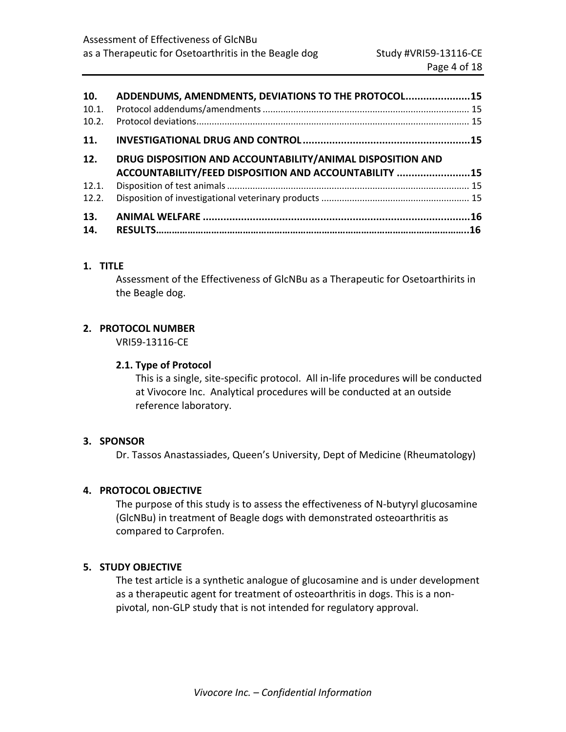| 10.   | ADDENDUMS, AMENDMENTS, DEVIATIONS TO THE PROTOCOL 15       |  |
|-------|------------------------------------------------------------|--|
| 10.1. |                                                            |  |
| 10.2. |                                                            |  |
| 11.   |                                                            |  |
| 12.   | DRUG DISPOSITION AND ACCOUNTABILITY/ANIMAL DISPOSITION AND |  |
|       | ACCOUNTABILITY/FEED DISPOSITION AND ACCOUNTABILITY 15      |  |
| 12.1. |                                                            |  |
| 12.2. |                                                            |  |
| 13.   |                                                            |  |
|       |                                                            |  |

# **1. TITLE**

Assessment of the Effectiveness of GlcNBu as a Therapeutic for Osetoarthirits in the Beagle dog.

# **2. PROTOCOL NUMBER**

VRI59-13116-CE

# **2.1. Type of Protocol**

This is a single, site-specific protocol. All in-life procedures will be conducted at Vivocore Inc. Analytical procedures will be conducted at an outside reference laboratory.

# **3. SPONSOR**

Dr. Tassos Anastassiades, Queen's University, Dept of Medicine (Rheumatology)

# **4. PROTOCOL OBJECTIVE**

The purpose of this study is to assess the effectiveness of N-butyryl glucosamine (GlcNBu) in treatment of Beagle dogs with demonstrated osteoarthritis as compared to Carprofen.

# **5. STUDY OBJECTIVE**

The test article is a synthetic analogue of glucosamine and is under development as a therapeutic agent for treatment of osteoarthritis in dogs. This is a nonpivotal, non-GLP study that is not intended for regulatory approval.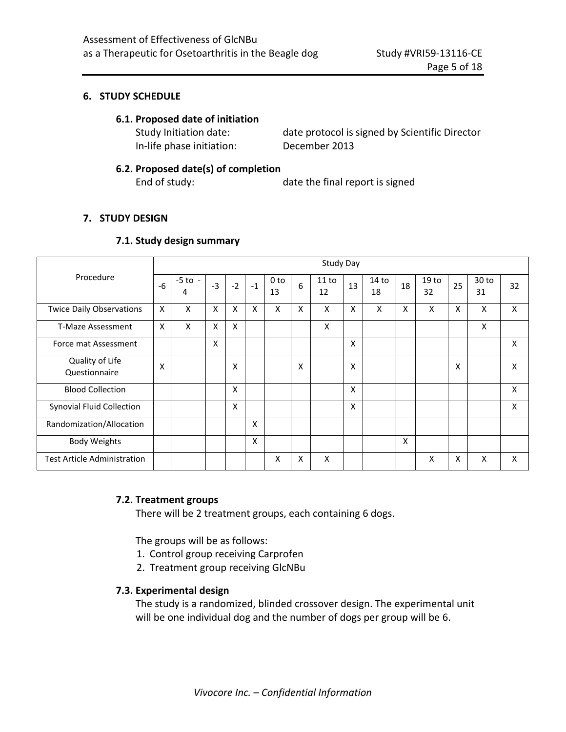### **6. STUDY SCHEDULE**

#### **6.1. Proposed date of initiation**

In-life phase initiation: December 2013

Study Initiation date: date protocol is signed by Scientific Director

#### **6.2. Proposed date(s) of completion**

End of study: date the final report is signed

#### **7. STUDY DESIGN**

#### **7.1. Study design summary**

| Procedure                          |   | <b>Study Day</b> |      |      |      |            |   |             |    |                        |    |                        |    |             |    |
|------------------------------------|---|------------------|------|------|------|------------|---|-------------|----|------------------------|----|------------------------|----|-------------|----|
|                                    |   | $-5$ to $-$<br>4 | $-3$ | $-2$ | $-1$ | 0 to<br>13 | 6 | 11 to<br>12 | 13 | 14 <sub>to</sub><br>18 | 18 | 19 <sub>to</sub><br>32 | 25 | 30 to<br>31 | 32 |
| <b>Twice Daily Observations</b>    | X | x                | X    | X    | X    | X          | X | X           | X  | X                      | X  | X                      | X  | X           | X  |
| <b>T-Maze Assessment</b>           | X | X                | X    | X    |      |            |   | X           |    |                        |    |                        |    | X           |    |
| Force mat Assessment               |   |                  | X    |      |      |            |   |             | X  |                        |    |                        |    |             | X  |
| Quality of Life<br>Questionnaire   | X |                  |      | X    |      |            | X |             | X  |                        |    |                        | X  |             | X  |
| <b>Blood Collection</b>            |   |                  |      | X    |      |            |   |             | X  |                        |    |                        |    |             | X  |
| <b>Synovial Fluid Collection</b>   |   |                  |      | X    |      |            |   |             | X  |                        |    |                        |    |             | X  |
| Randomization/Allocation           |   |                  |      |      | X    |            |   |             |    |                        |    |                        |    |             |    |
| <b>Body Weights</b>                |   |                  |      |      | X    |            |   |             |    |                        | X  |                        |    |             |    |
| <b>Test Article Administration</b> |   |                  |      |      |      | X          | X | X           |    |                        |    | X                      | x  | X           | X  |

#### **7.2. Treatment groups**

There will be 2 treatment groups, each containing 6 dogs.

The groups will be as follows:

- 1. Control group receiving Carprofen
- 2. Treatment group receiving GlcNBu

#### **7.3. Experimental design**

The study is a randomized, blinded crossover design. The experimental unit will be one individual dog and the number of dogs per group will be 6.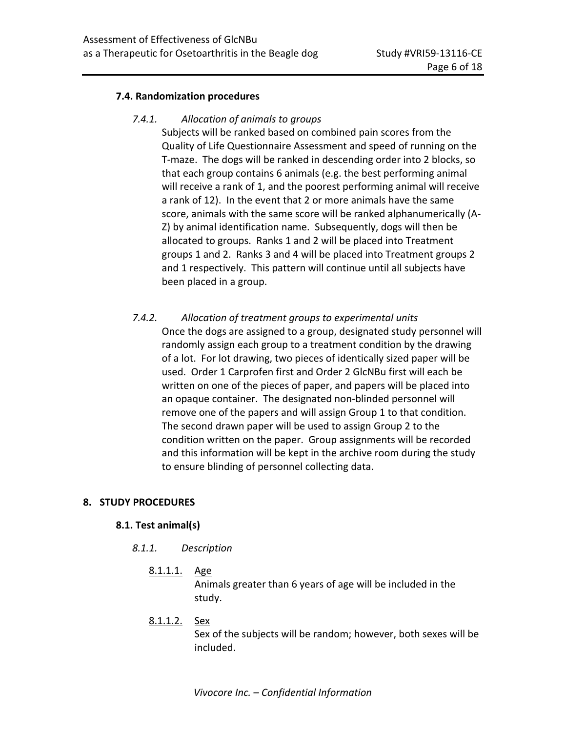### **7.4. Randomization procedures**

### *7.4.1. Allocation of animals to groups*

Subjects will be ranked based on combined pain scores from the Quality of Life Questionnaire Assessment and speed of running on the T-maze. The dogs will be ranked in descending order into 2 blocks, so that each group contains 6 animals (e.g. the best performing animal will receive a rank of 1, and the poorest performing animal will receive a rank of 12). In the event that 2 or more animals have the same score, animals with the same score will be ranked alphanumerically (A-Z) by animal identification name. Subsequently, dogs will then be allocated to groups. Ranks 1 and 2 will be placed into Treatment groups 1 and 2. Ranks 3 and 4 will be placed into Treatment groups 2 and 1 respectively. This pattern will continue until all subjects have been placed in a group.

*7.4.2. Allocation of treatment groups to experimental units* Once the dogs are assigned to a group, designated study personnel will randomly assign each group to a treatment condition by the drawing of a lot. For lot drawing, two pieces of identically sized paper will be used. Order 1 Carprofen first and Order 2 GlcNBu first will each be written on one of the pieces of paper, and papers will be placed into an opaque container. The designated non-blinded personnel will remove one of the papers and will assign Group 1 to that condition. The second drawn paper will be used to assign Group 2 to the condition written on the paper. Group assignments will be recorded and this information will be kept in the archive room during the study to ensure blinding of personnel collecting data.

### **8. STUDY PROCEDURES**

#### **8.1. Test animal(s)**

- *8.1.1. Description*
	- 8.1.1.1. Age

Animals greater than 6 years of age will be included in the study.

8.1.1.2. Sex

Sex of the subjects will be random; however, both sexes will be included.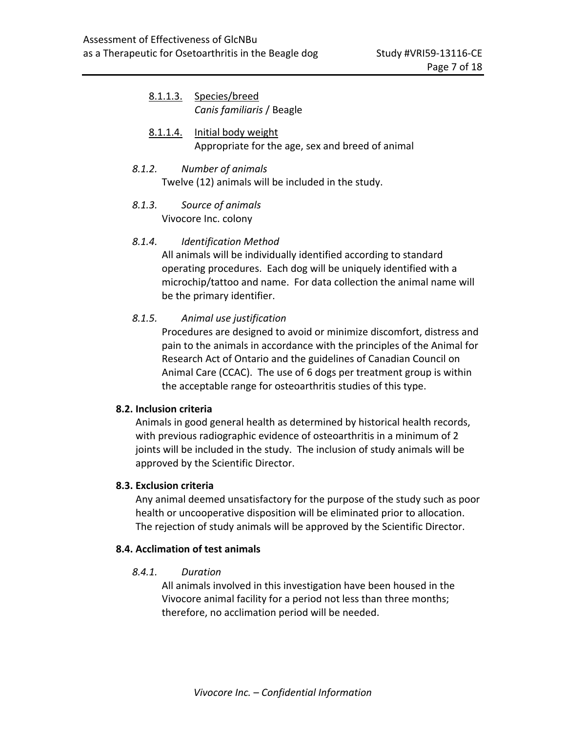| 8.1.1.3. | Species/breed<br>Canis familiaris / Beagle                              |
|----------|-------------------------------------------------------------------------|
| 8.1.1.4. | Initial body weight<br>Appropriate for the age, sex and breed of animal |
| 8.1.2.   | Number of animals<br>Twelve (12) animals will be included in the study. |

*8.1.3. Source of animals* Vivocore Inc. colony

# *8.1.4. Identification Method*

All animals will be individually identified according to standard operating procedures. Each dog will be uniquely identified with a microchip/tattoo and name. For data collection the animal name will be the primary identifier.

# *8.1.5. Animal use justification*

Procedures are designed to avoid or minimize discomfort, distress and pain to the animals in accordance with the principles of the Animal for Research Act of Ontario and the guidelines of Canadian Council on Animal Care (CCAC). The use of 6 dogs per treatment group is within the acceptable range for osteoarthritis studies of this type.

### **8.2. Inclusion criteria**

Animals in good general health as determined by historical health records, with previous radiographic evidence of osteoarthritis in a minimum of 2 joints will be included in the study. The inclusion of study animals will be approved by the Scientific Director.

### **8.3. Exclusion criteria**

Any animal deemed unsatisfactory for the purpose of the study such as poor health or uncooperative disposition will be eliminated prior to allocation. The rejection of study animals will be approved by the Scientific Director.

### **8.4. Acclimation of test animals**

### *8.4.1. Duration*

All animals involved in this investigation have been housed in the Vivocore animal facility for a period not less than three months; therefore, no acclimation period will be needed.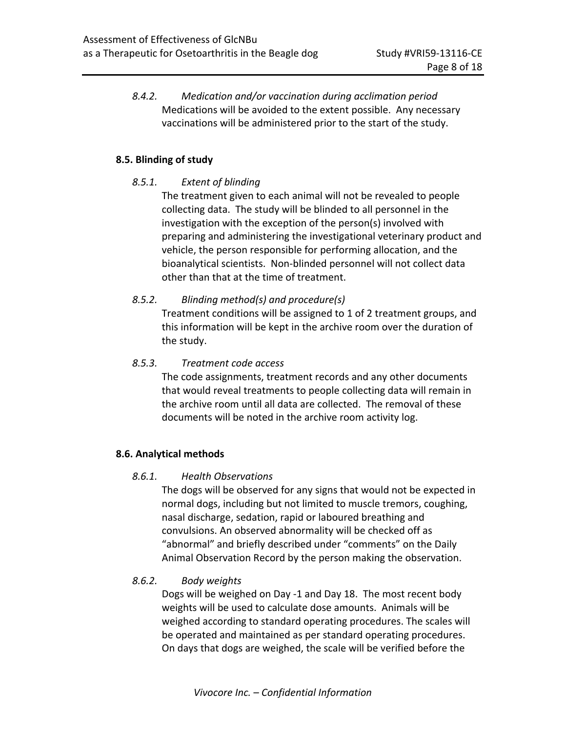*8.4.2. Medication and/or vaccination during acclimation period* Medications will be avoided to the extent possible. Any necessary vaccinations will be administered prior to the start of the study.

# **8.5. Blinding of study**

# *8.5.1. Extent of blinding*

The treatment given to each animal will not be revealed to people collecting data. The study will be blinded to all personnel in the investigation with the exception of the person(s) involved with preparing and administering the investigational veterinary product and vehicle, the person responsible for performing allocation, and the bioanalytical scientists. Non-blinded personnel will not collect data other than that at the time of treatment.

# *8.5.2. Blinding method(s) and procedure(s)*

Treatment conditions will be assigned to 1 of 2 treatment groups, and this information will be kept in the archive room over the duration of the study.

# *8.5.3. Treatment code access*

The code assignments, treatment records and any other documents that would reveal treatments to people collecting data will remain in the archive room until all data are collected. The removal of these documents will be noted in the archive room activity log.

# **8.6. Analytical methods**

### *8.6.1. Health Observations*

The dogs will be observed for any signs that would not be expected in normal dogs, including but not limited to muscle tremors, coughing, nasal discharge, sedation, rapid or laboured breathing and convulsions. An observed abnormality will be checked off as "abnormal" and briefly described under "comments" on the Daily Animal Observation Record by the person making the observation.

### *8.6.2. Body weights*

Dogs will be weighed on Day -1 and Day 18. The most recent body weights will be used to calculate dose amounts. Animals will be weighed according to standard operating procedures. The scales will be operated and maintained as per standard operating procedures. On days that dogs are weighed, the scale will be verified before the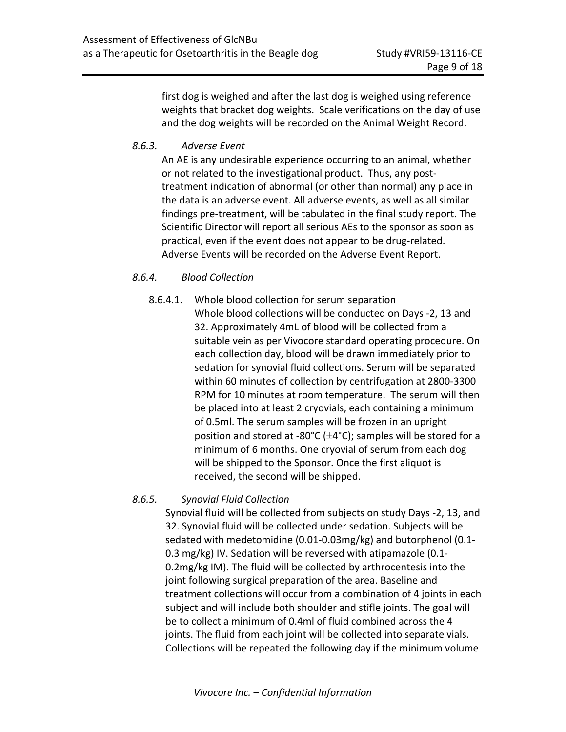first dog is weighed and after the last dog is weighed using reference weights that bracket dog weights. Scale verifications on the day of use and the dog weights will be recorded on the Animal Weight Record.

# *8.6.3. Adverse Event*

An AE is any undesirable experience occurring to an animal, whether or not related to the investigational product. Thus, any posttreatment indication of abnormal (or other than normal) any place in the data is an adverse event. All adverse events, as well as all similar findings pre-treatment, will be tabulated in the final study report. The Scientific Director will report all serious AEs to the sponsor as soon as practical, even if the event does not appear to be drug-related. Adverse Events will be recorded on the Adverse Event Report.

# *8.6.4. Blood Collection*

# 8.6.4.1. Whole blood collection for serum separation

Whole blood collections will be conducted on Days -2, 13 and 32. Approximately 4mL of blood will be collected from a suitable vein as per Vivocore standard operating procedure. On each collection day, blood will be drawn immediately prior to sedation for synovial fluid collections. Serum will be separated within 60 minutes of collection by centrifugation at 2800-3300 RPM for 10 minutes at room temperature. The serum will then be placed into at least 2 cryovials, each containing a minimum of 0.5ml. The serum samples will be frozen in an upright position and stored at -80 $^{\circ}$ C ( $\pm$ 4 $^{\circ}$ C); samples will be stored for a minimum of 6 months. One cryovial of serum from each dog will be shipped to the Sponsor. Once the first aliquot is received, the second will be shipped.

# *8.6.5. Synovial Fluid Collection*

Synovial fluid will be collected from subjects on study Days -2, 13, and 32. Synovial fluid will be collected under sedation. Subjects will be sedated with medetomidine (0.01-0.03mg/kg) and butorphenol (0.1- 0.3 mg/kg) IV. Sedation will be reversed with atipamazole (0.1- 0.2mg/kg IM). The fluid will be collected by arthrocentesis into the joint following surgical preparation of the area. Baseline and treatment collections will occur from a combination of 4 joints in each subject and will include both shoulder and stifle joints. The goal will be to collect a minimum of 0.4ml of fluid combined across the 4 joints. The fluid from each joint will be collected into separate vials. Collections will be repeated the following day if the minimum volume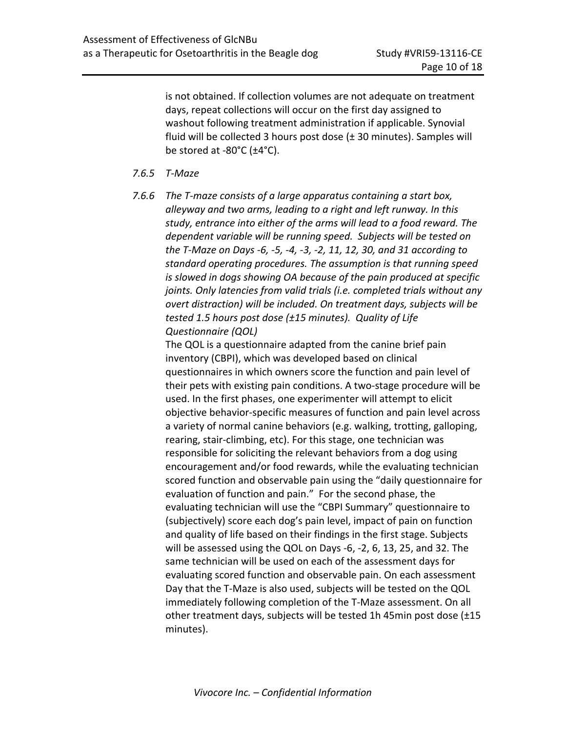is not obtained. If collection volumes are not adequate on treatment days, repeat collections will occur on the first day assigned to washout following treatment administration if applicable. Synovial fluid will be collected 3 hours post dose (± 30 minutes). Samples will be stored at -80 $^{\circ}$ C ( $\pm$ 4 $^{\circ}$ C).

# *7.6.5 T-Maze*

*7.6.6 The T-maze consists of a large apparatus containing a start box, alleyway and two arms, leading to a right and left runway. In this study, entrance into either of the arms will lead to a food reward. The dependent variable will be running speed. Subjects will be tested on the T-Maze on Days -6, -5, -4, -3, -2, 11, 12, 30, and 31 according to standard operating procedures. The assumption is that running speed is slowed in dogs showing OA because of the pain produced at specific joints. Only latencies from valid trials (i.e. completed trials without any overt distraction) will be included. On treatment days, subjects will be tested 1.5 hours post dose (±15 minutes). Quality of Life Questionnaire (QOL)*

The QOL is a questionnaire adapted from the canine brief pain inventory (CBPI), which was developed based on clinical questionnaires in which owners score the function and pain level of their pets with existing pain conditions. A two-stage procedure will be used. In the first phases, one experimenter will attempt to elicit objective behavior-specific measures of function and pain level across a variety of normal canine behaviors (e.g. walking, trotting, galloping, rearing, stair-climbing, etc). For this stage, one technician was responsible for soliciting the relevant behaviors from a dog using encouragement and/or food rewards, while the evaluating technician scored function and observable pain using the "daily questionnaire for evaluation of function and pain." For the second phase, the evaluating technician will use the "CBPI Summary" questionnaire to (subjectively) score each dog's pain level, impact of pain on function and quality of life based on their findings in the first stage. Subjects will be assessed using the QOL on Days -6, -2, 6, 13, 25, and 32. The same technician will be used on each of the assessment days for evaluating scored function and observable pain. On each assessment Day that the T-Maze is also used, subjects will be tested on the QOL immediately following completion of the T-Maze assessment. On all other treatment days, subjects will be tested 1h 45min post dose (±15 minutes).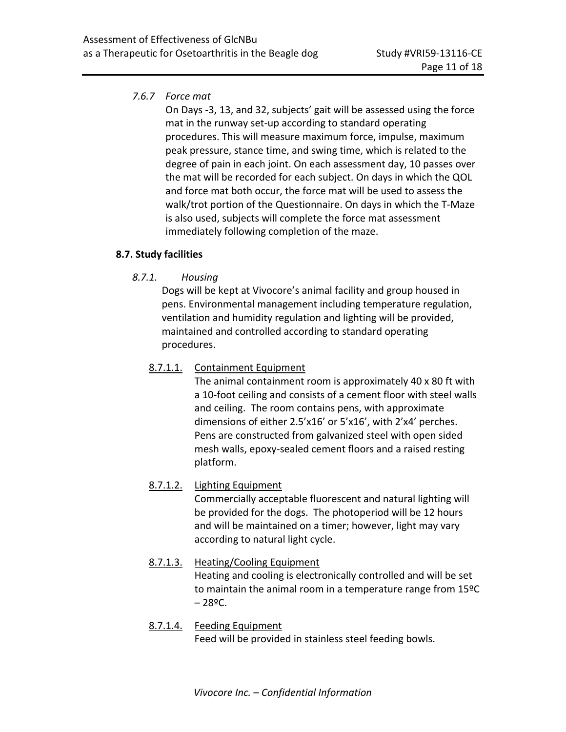# *7.6.7 Force mat*

On Days -3, 13, and 32, subjects' gait will be assessed using the force mat in the runway set-up according to standard operating procedures. This will measure maximum force, impulse, maximum peak pressure, stance time, and swing time, which is related to the degree of pain in each joint. On each assessment day, 10 passes over the mat will be recorded for each subject. On days in which the QOL and force mat both occur, the force mat will be used to assess the walk/trot portion of the Questionnaire. On days in which the T-Maze is also used, subjects will complete the force mat assessment immediately following completion of the maze.

# **8.7. Study facilities**

*8.7.1. Housing*

Dogs will be kept at Vivocore's animal facility and group housed in pens. Environmental management including temperature regulation, ventilation and humidity regulation and lighting will be provided, maintained and controlled according to standard operating procedures.

# 8.7.1.1. Containment Equipment

The animal containment room is approximately 40 x 80 ft with a 10-foot ceiling and consists of a cement floor with steel walls and ceiling. The room contains pens, with approximate dimensions of either 2.5'x16' or 5'x16', with 2'x4' perches. Pens are constructed from galvanized steel with open sided mesh walls, epoxy-sealed cement floors and a raised resting platform.

# 8.7.1.2. Lighting Equipment

Commercially acceptable fluorescent and natural lighting will be provided for the dogs. The photoperiod will be 12 hours and will be maintained on a timer; however, light may vary according to natural light cycle.

# 8.7.1.3. Heating/Cooling Equipment

Heating and cooling is electronically controlled and will be set to maintain the animal room in a temperature range from 15ºC  $-28$ <sup>o</sup>C.

# 8.7.1.4. Feeding Equipment Feed will be provided in stainless steel feeding bowls.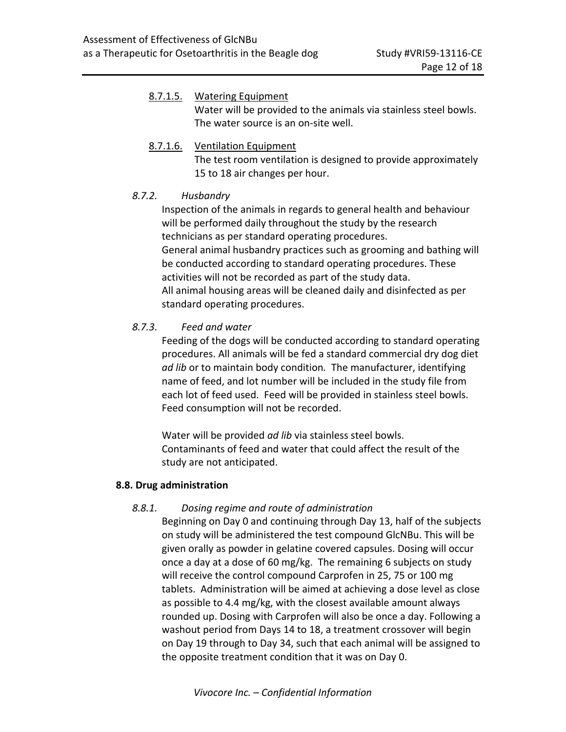# 8.7.1.5. Watering Equipment Water will be provided to the animals via stainless steel bowls. The water source is an on-site well. 8.7.1.6. Ventilation Equipment

The test room ventilation is designed to provide approximately 15 to 18 air changes per hour.

# *8.7.2. Husbandry*

Inspection of the animals in regards to general health and behaviour will be performed daily throughout the study by the research technicians as per standard operating procedures. General animal husbandry practices such as grooming and bathing will be conducted according to standard operating procedures. These activities will not be recorded as part of the study data. All animal housing areas will be cleaned daily and disinfected as per standard operating procedures.

# *8.7.3. Feed and water*

Feeding of the dogs will be conducted according to standard operating procedures. All animals will be fed a standard commercial dry dog diet *ad lib* or to maintain body condition*.* The manufacturer, identifying name of feed, and lot number will be included in the study file from each lot of feed used. Feed will be provided in stainless steel bowls. Feed consumption will not be recorded.

Water will be provided *ad lib* via stainless steel bowls. Contaminants of feed and water that could affect the result of the study are not anticipated.

# **8.8. Drug administration**

# *8.8.1. Dosing regime and route of administration*

Beginning on Day 0 and continuing through Day 13, half of the subjects on study will be administered the test compound GlcNBu. This will be given orally as powder in gelatine covered capsules. Dosing will occur once a day at a dose of 60 mg/kg. The remaining 6 subjects on study will receive the control compound Carprofen in 25, 75 or 100 mg tablets. Administration will be aimed at achieving a dose level as close as possible to 4.4 mg/kg, with the closest available amount always rounded up. Dosing with Carprofen will also be once a day. Following a washout period from Days 14 to 18, a treatment crossover will begin on Day 19 through to Day 34, such that each animal will be assigned to the opposite treatment condition that it was on Day 0.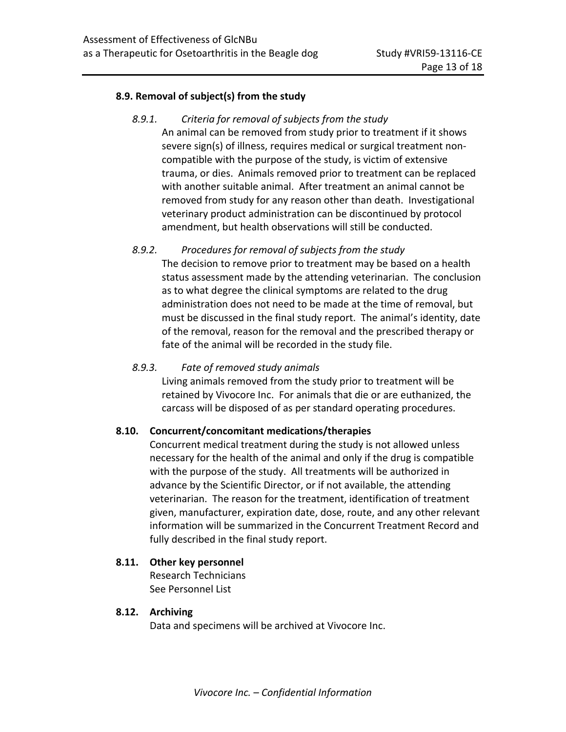#### **8.9. Removal of subject(s) from the study**

*8.9.1. Criteria for removal of subjects from the study* An animal can be removed from study prior to treatment if it shows severe sign(s) of illness, requires medical or surgical treatment noncompatible with the purpose of the study, is victim of extensive trauma, or dies. Animals removed prior to treatment can be replaced with another suitable animal. After treatment an animal cannot be removed from study for any reason other than death. Investigational veterinary product administration can be discontinued by protocol amendment, but health observations will still be conducted.

### *8.9.2. Procedures for removal of subjects from the study*

The decision to remove prior to treatment may be based on a health status assessment made by the attending veterinarian. The conclusion as to what degree the clinical symptoms are related to the drug administration does not need to be made at the time of removal, but must be discussed in the final study report. The animal's identity, date of the removal, reason for the removal and the prescribed therapy or fate of the animal will be recorded in the study file.

### *8.9.3. Fate of removed study animals*

Living animals removed from the study prior to treatment will be retained by Vivocore Inc. For animals that die or are euthanized, the carcass will be disposed of as per standard operating procedures.

### **8.10. Concurrent/concomitant medications/therapies**

Concurrent medical treatment during the study is not allowed unless necessary for the health of the animal and only if the drug is compatible with the purpose of the study. All treatments will be authorized in advance by the Scientific Director, or if not available, the attending veterinarian. The reason for the treatment, identification of treatment given, manufacturer, expiration date, dose, route, and any other relevant information will be summarized in the Concurrent Treatment Record and fully described in the final study report.

### **8.11. Other key personnel**

Research Technicians See Personnel List

### **8.12. Archiving**

Data and specimens will be archived at Vivocore Inc.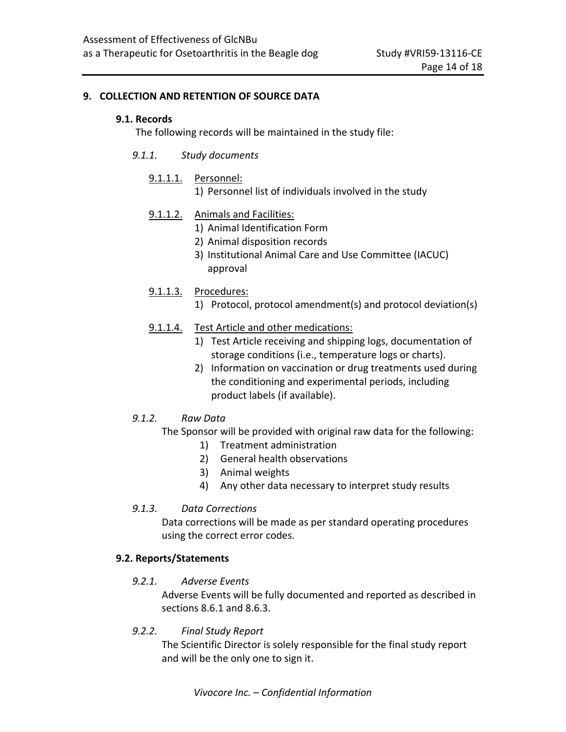#### **9. COLLECTION AND RETENTION OF SOURCE DATA**

#### **9.1. Records**

The following records will be maintained in the study file:

- *9.1.1. Study documents*
	- 9.1.1.1. Personnel:
		- 1) Personnel list of individuals involved in the study
	- 9.1.1.2. Animals and Facilities:
		- 1) Animal Identification Form
		- 2) Animal disposition records
		- 3) Institutional Animal Care and Use Committee (IACUC) approval
	- 9.1.1.3. Procedures:
		- 1) Protocol, protocol amendment(s) and protocol deviation(s)
	- 9.1.1.4. Test Article and other medications:
		- 1) Test Article receiving and shipping logs, documentation of storage conditions (i.e., temperature logs or charts).
		- 2) Information on vaccination or drug treatments used during the conditioning and experimental periods, including product labels (if available).

### *9.1.2. Raw Data*

The Sponsor will be provided with original raw data for the following:

- 1) Treatment administration
- 2) General health observations
- 3) Animal weights
- 4) Any other data necessary to interpret study results

### *9.1.3. Data Corrections*

Data corrections will be made as per standard operating procedures using the correct error codes.

### **9.2. Reports/Statements**

*9.2.1. Adverse Events*

Adverse Events will be fully documented and reported as described in sections 8.6.1 and 8.6.3.

*9.2.2. Final Study Report*

The Scientific Director is solely responsible for the final study report and will be the only one to sign it.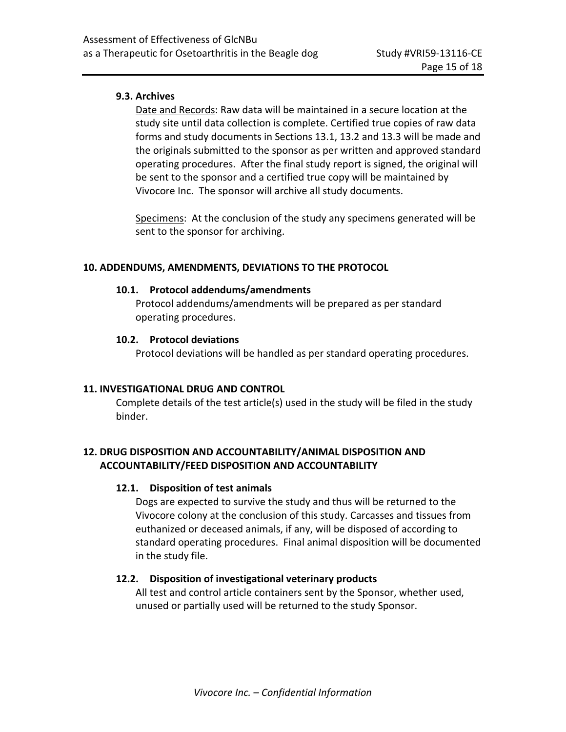### **9.3. Archives**

Date and Records: Raw data will be maintained in a secure location at the study site until data collection is complete. Certified true copies of raw data forms and study documents in Sections 13.1, 13.2 and 13.3 will be made and the originals submitted to the sponsor as per written and approved standard operating procedures. After the final study report is signed, the original will be sent to the sponsor and a certified true copy will be maintained by Vivocore Inc. The sponsor will archive all study documents.

Specimens: At the conclusion of the study any specimens generated will be sent to the sponsor for archiving.

#### **10. ADDENDUMS, AMENDMENTS, DEVIATIONS TO THE PROTOCOL**

#### **10.1. Protocol addendums/amendments**

Protocol addendums/amendments will be prepared as per standard operating procedures.

#### **10.2. Protocol deviations**

Protocol deviations will be handled as per standard operating procedures.

### **11. INVESTIGATIONAL DRUG AND CONTROL**

Complete details of the test article(s) used in the study will be filed in the study binder.

# **12. DRUG DISPOSITION AND ACCOUNTABILITY/ANIMAL DISPOSITION AND ACCOUNTABILITY/FEED DISPOSITION AND ACCOUNTABILITY**

### **12.1. Disposition of test animals**

Dogs are expected to survive the study and thus will be returned to the Vivocore colony at the conclusion of this study. Carcasses and tissues from euthanized or deceased animals, if any, will be disposed of according to standard operating procedures. Final animal disposition will be documented in the study file.

### **12.2. Disposition of investigational veterinary products**

All test and control article containers sent by the Sponsor, whether used, unused or partially used will be returned to the study Sponsor.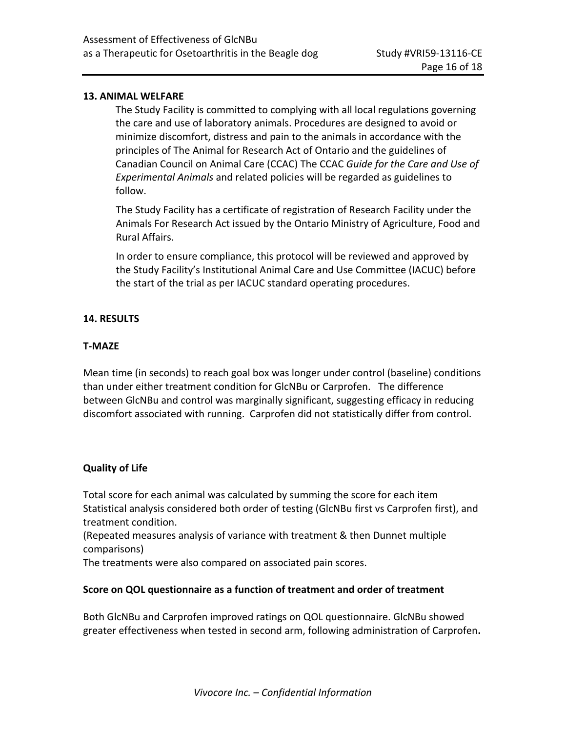### **13. ANIMAL WELFARE**

The Study Facility is committed to complying with all local regulations governing the care and use of laboratory animals. Procedures are designed to avoid or minimize discomfort, distress and pain to the animals in accordance with the principles of The Animal for Research Act of Ontario and the guidelines of Canadian Council on Animal Care (CCAC) The CCAC *Guide for the Care and Use of Experimental Animals* and related policies will be regarded as guidelines to follow.

The Study Facility has a certificate of registration of Research Facility under the Animals For Research Act issued by the Ontario Ministry of Agriculture, Food and Rural Affairs.

In order to ensure compliance, this protocol will be reviewed and approved by the Study Facility's Institutional Animal Care and Use Committee (IACUC) before the start of the trial as per IACUC standard operating procedures.

#### **14. RESULTS**

#### **T-MAZE**

Mean time (in seconds) to reach goal box was longer under control (baseline) conditions than under either treatment condition for GlcNBu or Carprofen. The difference between GlcNBu and control was marginally significant, suggesting efficacy in reducing discomfort associated with running. Carprofen did not statistically differ from control.

#### **Quality of Life**

Total score for each animal was calculated by summing the score for each item Statistical analysis considered both order of testing (GlcNBu first vs Carprofen first), and treatment condition.

(Repeated measures analysis of variance with treatment & then Dunnet multiple comparisons)

The treatments were also compared on associated pain scores.

#### **Score on QOL questionnaire as a function of treatment and order of treatment**

Both GlcNBu and Carprofen improved ratings on QOL questionnaire. GlcNBu showed greater effectiveness when tested in second arm, following administration of Carprofen**.**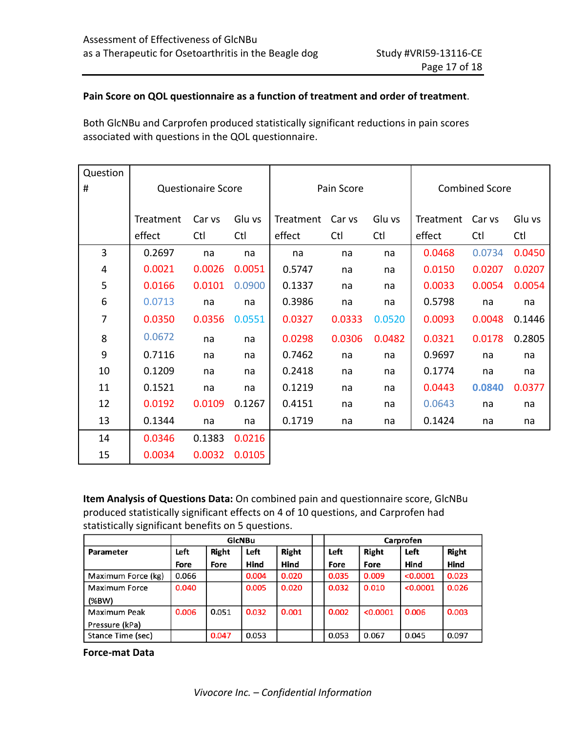### **Pain Score on QOL questionnaire as a function of treatment and order of treatment**.

Both GlcNBu and Carprofen produced statistically significant reductions in pain scores associated with questions in the QOL questionnaire.

| Question |           |                           |        |           |            |        |                       |        |        |  |  |
|----------|-----------|---------------------------|--------|-----------|------------|--------|-----------------------|--------|--------|--|--|
| #        |           | <b>Questionaire Score</b> |        |           | Pain Score |        | <b>Combined Score</b> |        |        |  |  |
|          |           |                           |        |           |            |        |                       |        |        |  |  |
|          | Treatment | Car vs                    | Glu vs | Treatment | Car vs     | Glu vs | Treatment             | Car vs | Glu vs |  |  |
|          | effect    | Ctl                       | Ctl    | effect    | Ctl        | Ctl    | effect                | Ctl    | Ctl    |  |  |
| 3        | 0.2697    | na                        | na     | na        | na         | na     | 0.0468                | 0.0734 | 0.0450 |  |  |
| 4        | 0.0021    | 0.0026                    | 0.0051 | 0.5747    | na         | na     | 0.0150                | 0.0207 | 0.0207 |  |  |
| 5        | 0.0166    | 0.0101                    | 0.0900 | 0.1337    | na         | na     | 0.0033                | 0.0054 | 0.0054 |  |  |
| 6        | 0.0713    | na                        | na     | 0.3986    | na         | na     | 0.5798                | na     | na     |  |  |
| 7        | 0.0350    | 0.0356                    | 0.0551 | 0.0327    | 0.0333     | 0.0520 | 0.0093                | 0.0048 | 0.1446 |  |  |
| 8        | 0.0672    | na                        | na     | 0.0298    | 0.0306     | 0.0482 | 0.0321                | 0.0178 | 0.2805 |  |  |
| 9        | 0.7116    | na                        | na     | 0.7462    | na         | na     | 0.9697                | na     | na     |  |  |
| 10       | 0.1209    | na                        | na     | 0.2418    | na         | na     | 0.1774                | na     | na     |  |  |
| 11       | 0.1521    | na                        | na     | 0.1219    | na         | na     | 0.0443                | 0.0840 | 0.0377 |  |  |
| 12       | 0.0192    | 0.0109                    | 0.1267 | 0.4151    | na         | na     | 0.0643                | na     | na     |  |  |
| 13       | 0.1344    | na                        | na     | 0.1719    | na         | na     | 0.1424                | na     | na     |  |  |
| 14       | 0.0346    | 0.1383                    | 0.0216 |           |            |        |                       |        |        |  |  |
| 15       | 0.0034    | 0.0032                    | 0.0105 |           |            |        |                       |        |        |  |  |

**Item Analysis of Questions Data:** On combined pain and questionnaire score, GlcNBu produced statistically significant effects on 4 of 10 questions, and Carprofen had statistically significant benefits on 5 questions.

|                    |       |       | GlcNBu |       | Carprofen |          |          |       |  |  |
|--------------------|-------|-------|--------|-------|-----------|----------|----------|-------|--|--|
| Parameter          | Left  | Right | Left   | Right | Left      | Right    | Left     | Right |  |  |
|                    | Fore  | Fore  | Hind   | Hind  | Fore      | Fore     | Hind     | Hind  |  |  |
| Maximum Force (kg) | 0.066 |       | 0.004  | 0.020 | 0.035     | 0.009    | < 0.0001 | 0.023 |  |  |
| Maximum Force      | 0.040 |       | 0.005  | 0.020 | 0.032     | 0.010    | < 0.0001 | 0.026 |  |  |
| (%BW)              |       |       |        |       |           |          |          |       |  |  |
| Maximum Peak       | 0.006 | 0.051 | 0.032  | 0.001 | 0.002     | < 0.0001 | 0.006    | 0.003 |  |  |
| Pressure (kPa)     |       |       |        |       |           |          |          |       |  |  |
| Stance Time (sec)  |       | 0.047 | 0.053  |       | 0.053     | 0.067    | 0.045    | 0.097 |  |  |

**Force-mat Data**